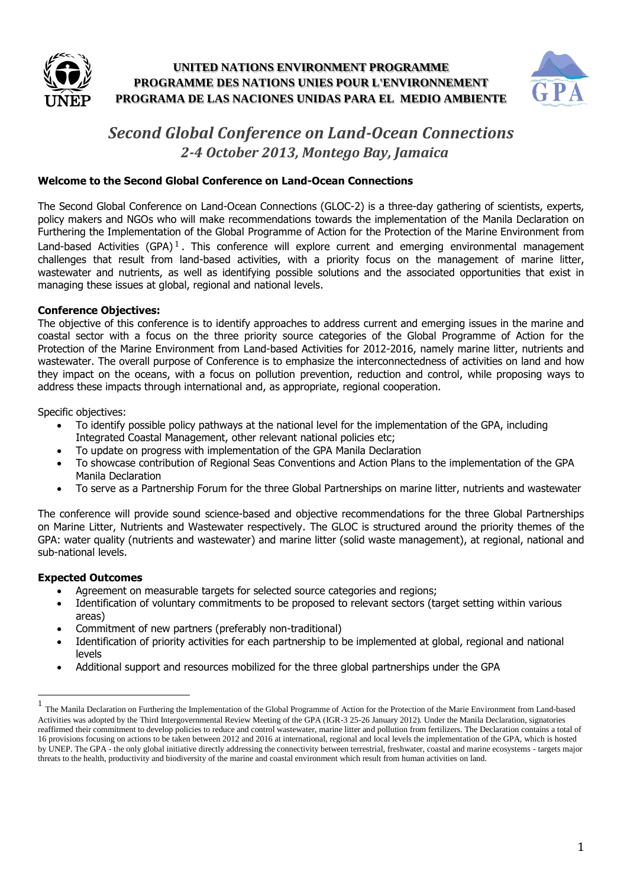



## *Second Global Conference on Land-Ocean Connections 2-4 October 2013, Montego Bay, Jamaica*

#### **Welcome to the Second Global Conference on Land-Ocean Connections**

The Second Global Conference on Land-Ocean Connections (GLOC-2) is a three-day gathering of scientists, experts, policy makers and NGOs who will make recommendations towards the implementation of the Manila Declaration on Furthering the Implementation of the Global Programme of Action for the Protection of the Marine Environment from Land-based Activities (GPA)<sup>1</sup>. This conference will explore current and emerging environmental management challenges that result from land-based activities, with a priority focus on the management of marine litter, wastewater and nutrients, as well as identifying possible solutions and the associated opportunities that exist in managing these issues at global, regional and national levels.

#### **Conference Objectives:**

The objective of this conference is to identify approaches to address current and emerging issues in the marine and coastal sector with a focus on the three priority source categories of the Global Programme of Action for the Protection of the Marine Environment from Land-based Activities for 2012-2016, namely marine litter, nutrients and wastewater. The overall purpose of Conference is to emphasize the interconnectedness of activities on land and how they impact on the oceans, with a focus on pollution prevention, reduction and control, while proposing ways to address these impacts through international and, as appropriate, regional cooperation.

Specific objectives:

- To identify possible policy pathways at the national level for the implementation of the GPA, including Integrated Coastal Management, other relevant national policies etc;
- To update on progress with implementation of the GPA Manila Declaration
- To showcase contribution of Regional Seas Conventions and Action Plans to the implementation of the GPA Manila Declaration
- To serve as a Partnership Forum for the three Global Partnerships on marine litter, nutrients and wastewater

The conference will provide sound science-based and objective recommendations for the three Global Partnerships on Marine Litter, Nutrients and Wastewater respectively. The GLOC is structured around the priority themes of the GPA: water quality (nutrients and wastewater) and marine litter (solid waste management), at regional, national and sub-national levels.

#### **Expected Outcomes**

 $\overline{\phantom{a}}$ 

- Agreement on measurable targets for selected source categories and regions;
- Identification of voluntary commitments to be proposed to relevant sectors (target setting within various areas)
- Commitment of new partners (preferably non-traditional)
- Identification of priority activities for each partnership to be implemented at global, regional and national levels
- Additional support and resources mobilized for the three global partnerships under the GPA

<sup>1</sup> The Manila Declaration on Furthering the Implementation of the Global Programme of Action for the Protection of the Marie Environment from Land-based Activities was adopted by the Third Intergovernmental Review Meeting of the GPA (IGR-3 25-26 January 2012). Under the Manila Declaration, signatories reaffirmed their commitment to develop policies to reduce and control wastewater, marine litter and pollution from fertilizers. The Declaration contains a total of 16 provisions focusing on actions to be taken between 2012 and 2016 at international, regional and local levels the implementation of the GPA, which is hosted by UNEP. The GPA - the only global initiative directly addressing the connectivity between terrestrial, freshwater, coastal and marine ecosystems - targets major threats to the health, productivity and biodiversity of the marine and coastal environment which result from human activities on land.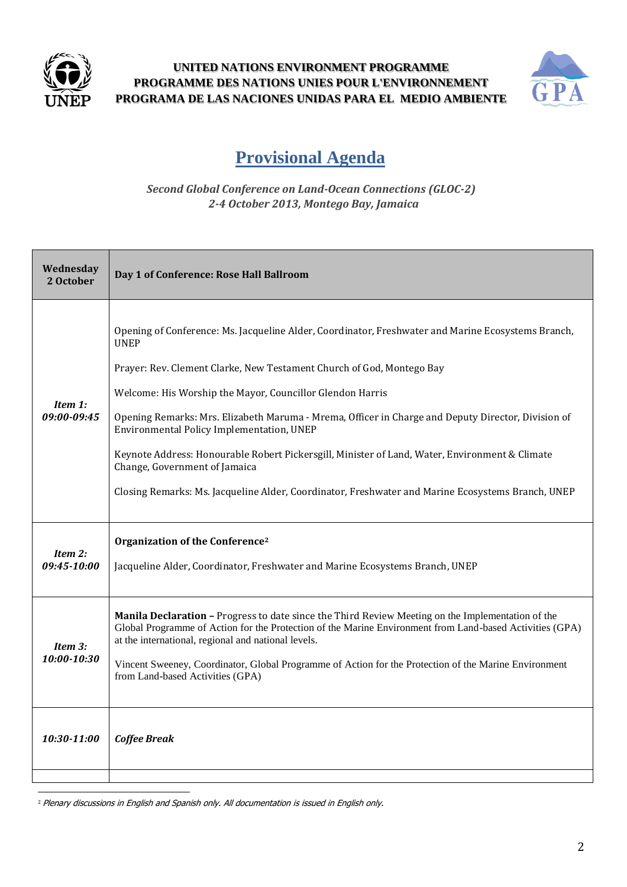



# **Provisional Agenda**

*Second Global Conference on Land-Ocean Connections (GLOC-2) 2-4 October 2013, Montego Bay, Jamaica*

| Wednesday<br>2 October    | Day 1 of Conference: Rose Hall Ballroom                                                                                                                                                                                                                                                                                                                                                                                                                                                                                                                                                                                                            |
|---------------------------|----------------------------------------------------------------------------------------------------------------------------------------------------------------------------------------------------------------------------------------------------------------------------------------------------------------------------------------------------------------------------------------------------------------------------------------------------------------------------------------------------------------------------------------------------------------------------------------------------------------------------------------------------|
| Item 1:<br>09:00-09:45    | Opening of Conference: Ms. Jacqueline Alder, Coordinator, Freshwater and Marine Ecosystems Branch,<br><b>UNEP</b><br>Prayer: Rev. Clement Clarke, New Testament Church of God, Montego Bay<br>Welcome: His Worship the Mayor, Councillor Glendon Harris<br>Opening Remarks: Mrs. Elizabeth Maruma - Mrema, Officer in Charge and Deputy Director, Division of<br>Environmental Policy Implementation, UNEP<br>Keynote Address: Honourable Robert Pickersgill, Minister of Land, Water, Environment & Climate<br>Change, Government of Jamaica<br>Closing Remarks: Ms. Jacqueline Alder, Coordinator, Freshwater and Marine Ecosystems Branch, UNEP |
| Item 2:<br>09:45-10:00    | Organization of the Conference <sup>2</sup><br>Jacqueline Alder, Coordinator, Freshwater and Marine Ecosystems Branch, UNEP                                                                                                                                                                                                                                                                                                                                                                                                                                                                                                                        |
| Item $3$ :<br>10:00-10:30 | Manila Declaration - Progress to date since the Third Review Meeting on the Implementation of the<br>Global Programme of Action for the Protection of the Marine Environment from Land-based Activities (GPA)<br>at the international, regional and national levels.<br>Vincent Sweeney, Coordinator, Global Programme of Action for the Protection of the Marine Environment<br>from Land-based Activities (GPA)                                                                                                                                                                                                                                  |
| 10:30-11:00               | <b>Coffee Break</b>                                                                                                                                                                                                                                                                                                                                                                                                                                                                                                                                                                                                                                |
|                           |                                                                                                                                                                                                                                                                                                                                                                                                                                                                                                                                                                                                                                                    |

<sup>2</sup> Plenary discussions in English and Spanish only. All documentation is issued in English only.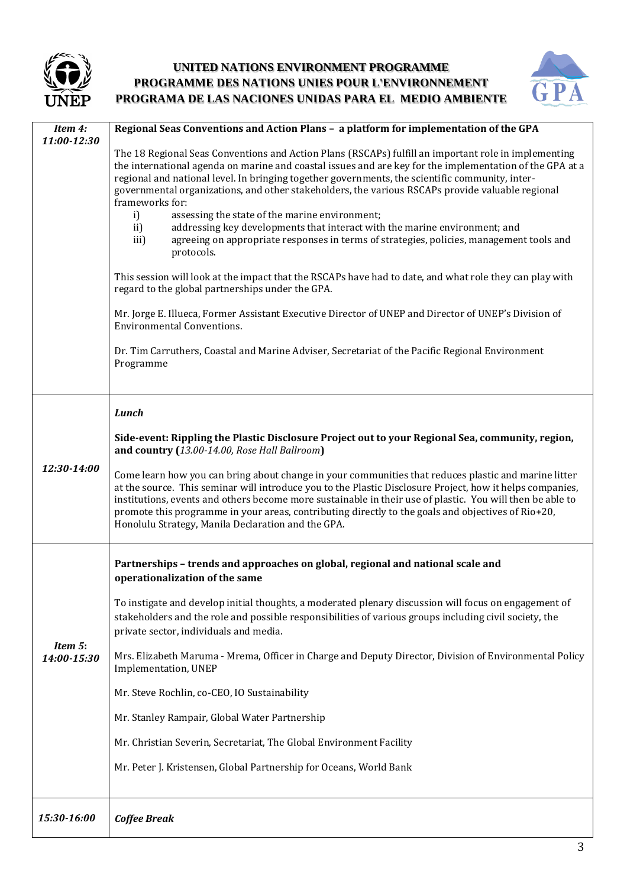



| Item 4:<br>11:00-12:30 | Regional Seas Conventions and Action Plans - a platform for implementation of the GPA                                                                                                                                                                                                                                                                                                                                                                                                      |
|------------------------|--------------------------------------------------------------------------------------------------------------------------------------------------------------------------------------------------------------------------------------------------------------------------------------------------------------------------------------------------------------------------------------------------------------------------------------------------------------------------------------------|
|                        | The 18 Regional Seas Conventions and Action Plans (RSCAPs) fulfill an important role in implementing<br>the international agenda on marine and coastal issues and are key for the implementation of the GPA at a<br>regional and national level. In bringing together governments, the scientific community, inter-<br>governmental organizations, and other stakeholders, the various RSCAPs provide valuable regional<br>frameworks for:                                                 |
|                        | assessing the state of the marine environment;<br>i)<br>ii)<br>addressing key developments that interact with the marine environment; and<br>agreeing on appropriate responses in terms of strategies, policies, management tools and<br>iii)<br>protocols.                                                                                                                                                                                                                                |
|                        | This session will look at the impact that the RSCAPs have had to date, and what role they can play with<br>regard to the global partnerships under the GPA.                                                                                                                                                                                                                                                                                                                                |
|                        | Mr. Jorge E. Illueca, Former Assistant Executive Director of UNEP and Director of UNEP's Division of<br><b>Environmental Conventions.</b>                                                                                                                                                                                                                                                                                                                                                  |
|                        | Dr. Tim Carruthers, Coastal and Marine Adviser, Secretariat of the Pacific Regional Environment<br>Programme                                                                                                                                                                                                                                                                                                                                                                               |
| 12:30-14:00            | Lunch                                                                                                                                                                                                                                                                                                                                                                                                                                                                                      |
|                        | Side-event: Rippling the Plastic Disclosure Project out to your Regional Sea, community, region,<br>and country (13.00-14.00, Rose Hall Ballroom)                                                                                                                                                                                                                                                                                                                                          |
|                        | Come learn how you can bring about change in your communities that reduces plastic and marine litter<br>at the source. This seminar will introduce you to the Plastic Disclosure Project, how it helps companies,<br>institutions, events and others become more sustainable in their use of plastic. You will then be able to<br>promote this programme in your areas, contributing directly to the goals and objectives of Rio+20,<br>Honolulu Strategy, Manila Declaration and the GPA. |
| Item 5:<br>14:00-15:30 | Partnerships - trends and approaches on global, regional and national scale and<br>operationalization of the same                                                                                                                                                                                                                                                                                                                                                                          |
|                        | To instigate and develop initial thoughts, a moderated plenary discussion will focus on engagement of<br>stakeholders and the role and possible responsibilities of various groups including civil society, the<br>private sector, individuals and media.                                                                                                                                                                                                                                  |
|                        | Mrs. Elizabeth Maruma - Mrema, Officer in Charge and Deputy Director, Division of Environmental Policy<br>Implementation, UNEP                                                                                                                                                                                                                                                                                                                                                             |
|                        | Mr. Steve Rochlin, co-CEO, IO Sustainability                                                                                                                                                                                                                                                                                                                                                                                                                                               |
|                        | Mr. Stanley Rampair, Global Water Partnership                                                                                                                                                                                                                                                                                                                                                                                                                                              |
|                        | Mr. Christian Severin, Secretariat, The Global Environment Facility                                                                                                                                                                                                                                                                                                                                                                                                                        |
|                        | Mr. Peter J. Kristensen, Global Partnership for Oceans, World Bank                                                                                                                                                                                                                                                                                                                                                                                                                         |
| 15:30-16:00            | <b>Coffee Break</b>                                                                                                                                                                                                                                                                                                                                                                                                                                                                        |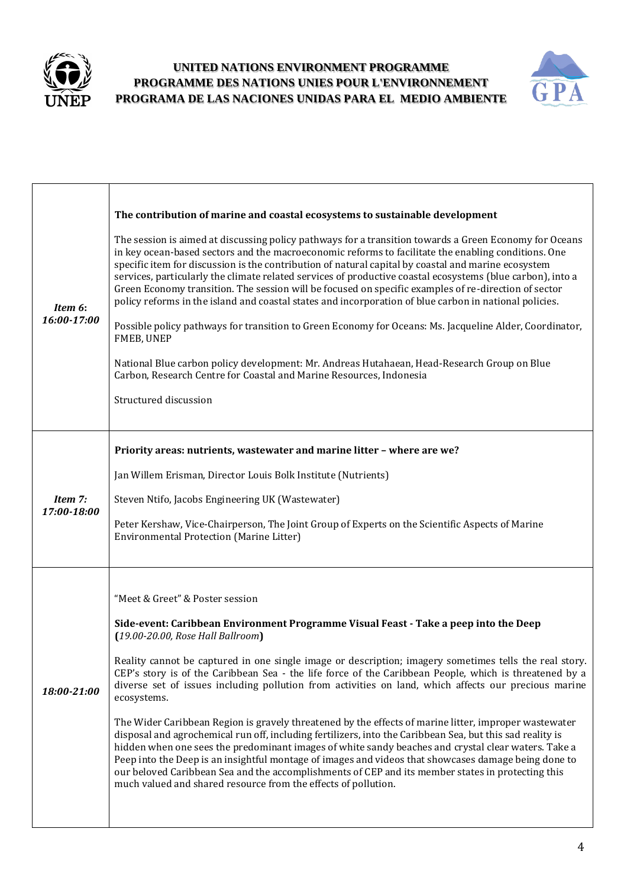



| Item 6:<br>16:00-17:00 | The contribution of marine and coastal ecosystems to sustainable development<br>The session is aimed at discussing policy pathways for a transition towards a Green Economy for Oceans<br>in key ocean-based sectors and the macroeconomic reforms to facilitate the enabling conditions. One<br>specific item for discussion is the contribution of natural capital by coastal and marine ecosystem<br>services, particularly the climate related services of productive coastal ecosystems (blue carbon), into a<br>Green Economy transition. The session will be focused on specific examples of re-direction of sector<br>policy reforms in the island and coastal states and incorporation of blue carbon in national policies.<br>Possible policy pathways for transition to Green Economy for Oceans: Ms. Jacqueline Alder, Coordinator,<br>FMEB, UNEP<br>National Blue carbon policy development: Mr. Andreas Hutahaean, Head-Research Group on Blue<br>Carbon, Research Centre for Coastal and Marine Resources, Indonesia<br>Structured discussion                                                            |
|------------------------|-------------------------------------------------------------------------------------------------------------------------------------------------------------------------------------------------------------------------------------------------------------------------------------------------------------------------------------------------------------------------------------------------------------------------------------------------------------------------------------------------------------------------------------------------------------------------------------------------------------------------------------------------------------------------------------------------------------------------------------------------------------------------------------------------------------------------------------------------------------------------------------------------------------------------------------------------------------------------------------------------------------------------------------------------------------------------------------------------------------------------|
| Item 7:<br>17:00-18:00 | Priority areas: nutrients, wastewater and marine litter - where are we?<br>Jan Willem Erisman, Director Louis Bolk Institute (Nutrients)<br>Steven Ntifo, Jacobs Engineering UK (Wastewater)<br>Peter Kershaw, Vice-Chairperson, The Joint Group of Experts on the Scientific Aspects of Marine<br><b>Environmental Protection (Marine Litter)</b>                                                                                                                                                                                                                                                                                                                                                                                                                                                                                                                                                                                                                                                                                                                                                                      |
| 18:00-21:00            | "Meet & Greet" & Poster session<br>Side-event: Caribbean Environment Programme Visual Feast - Take a peep into the Deep<br>$(19.00 - 20.00,$ Rose Hall Ballroom)<br>Reality cannot be captured in one single image or description; imagery sometimes tells the real story.<br>CEP's story is of the Caribbean Sea - the life force of the Caribbean People, which is threatened by a<br>diverse set of issues including pollution from activities on land, which affects our precious marine<br>ecosystems.<br>The Wider Caribbean Region is gravely threatened by the effects of marine litter, improper wastewater<br>disposal and agrochemical run off, including fertilizers, into the Caribbean Sea, but this sad reality is<br>hidden when one sees the predominant images of white sandy beaches and crystal clear waters. Take a<br>Peep into the Deep is an insightful montage of images and videos that showcases damage being done to<br>our beloved Caribbean Sea and the accomplishments of CEP and its member states in protecting this<br>much valued and shared resource from the effects of pollution. |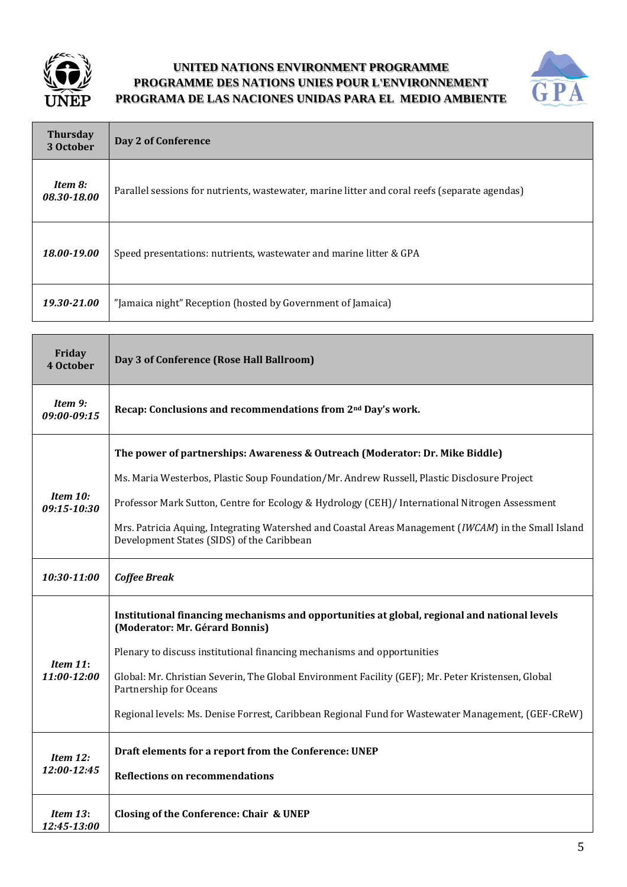



| <b>Thursday</b><br>3 October | Day 2 of Conference                                                                            |
|------------------------------|------------------------------------------------------------------------------------------------|
| Item 8:<br>08.30-18.00       | Parallel sessions for nutrients, was tewater, marine litter and coral reefs (separate agendas) |
| 18.00-19.00                  | Speed presentations: nutrients, wastewater and marine litter & GPA                             |
| 19.30-21.00                  | "Jamaica night" Reception (hosted by Government of Jamaica)                                    |

| Friday<br>4 October        | Day 3 of Conference (Rose Hall Ballroom)                                                                                                           |
|----------------------------|----------------------------------------------------------------------------------------------------------------------------------------------------|
| Item 9:<br>09:00-09:15     | Recap: Conclusions and recommendations from 2 <sup>nd</sup> Day's work.                                                                            |
|                            | The power of partnerships: Awareness & Outreach (Moderator: Dr. Mike Biddle)                                                                       |
|                            | Ms. Maria Westerbos, Plastic Soup Foundation/Mr. Andrew Russell, Plastic Disclosure Project                                                        |
| Item 10:<br>09:15-10:30    | Professor Mark Sutton, Centre for Ecology & Hydrology (CEH)/ International Nitrogen Assessment                                                     |
|                            | Mrs. Patricia Aquing, Integrating Watershed and Coastal Areas Management (IWCAM) in the Small Island<br>Development States (SIDS) of the Caribbean |
| 10:30-11:00                | <b>Coffee Break</b>                                                                                                                                |
| Item $11$ :<br>11:00-12:00 | Institutional financing mechanisms and opportunities at global, regional and national levels<br>(Moderator: Mr. Gérard Bonnis)                     |
|                            | Plenary to discuss institutional financing mechanisms and opportunities                                                                            |
|                            | Global: Mr. Christian Severin, The Global Environment Facility (GEF); Mr. Peter Kristensen, Global<br>Partnership for Oceans                       |
|                            | Regional levels: Ms. Denise Forrest, Caribbean Regional Fund for Wastewater Management, (GEF-CReW)                                                 |
| Item 12:<br>12:00-12:45    | Draft elements for a report from the Conference: UNEP                                                                                              |
|                            | <b>Reflections on recommendations</b>                                                                                                              |
| Item $13:$<br>12:45-13:00  | Closing of the Conference: Chair & UNEP                                                                                                            |